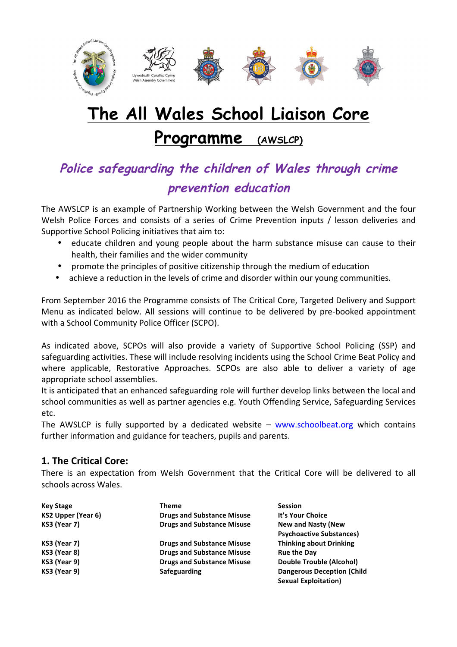

# **The All Wales School Liaison Core**

# **Programme (AWSLCP)**

# **Police safeguarding the children of Wales through crime prevention education**

The AWSLCP is an example of Partnership Working between the Welsh Government and the four Welsh Police Forces and consists of a series of Crime Prevention inputs / lesson deliveries and Supportive School Policing initiatives that aim to:

- educate children and young people about the harm substance misuse can cause to their health, their families and the wider community
- promote the principles of positive citizenship through the medium of education
- achieve a reduction in the levels of crime and disorder within our young communities.

From September 2016 the Programme consists of The Critical Core, Targeted Delivery and Support Menu as indicated below. All sessions will continue to be delivered by pre-booked appointment with a School Community Police Officer (SCPO).

As indicated above, SCPOs will also provide a variety of Supportive School Policing (SSP) and safeguarding activities. These will include resolving incidents using the School Crime Beat Policy and where applicable, Restorative Approaches. SCPOs are also able to deliver a variety of age appropriate school assemblies.

It is anticipated that an enhanced safeguarding role will further develop links between the local and school communities as well as partner agencies e.g. Youth Offending Service, Safeguarding Services etc. 

The AWSLCP is fully supported by a dedicated website  $-$  www.schoolbeat.org which contains further information and guidance for teachers, pupils and parents.

## **1. The Critical Core:**

There is an expectation from Welsh Government that the Critical Core will be delivered to all schools across Wales.

| <b>Key Stage</b>          | Theme                             | <b>Session</b>                     |
|---------------------------|-----------------------------------|------------------------------------|
| <b>KS2 Upper (Year 6)</b> | <b>Drugs and Substance Misuse</b> | It's Your Choice                   |
| KS3 (Year 7)              | <b>Drugs and Substance Misuse</b> | <b>New and Nasty (New</b>          |
|                           |                                   | <b>Psychoactive Substances)</b>    |
| KS3 (Year 7)              | <b>Drugs and Substance Misuse</b> | <b>Thinking about Drinking</b>     |
| KS3 (Year 8)              | <b>Drugs and Substance Misuse</b> | <b>Rue the Day</b>                 |
| KS3 (Year 9)              | <b>Drugs and Substance Misuse</b> | Double Trouble (Alcohol)           |
| KS3 (Year 9)              | Safeguarding                      | <b>Dangerous Deception (Child)</b> |
|                           |                                   | <b>Sexual Exploitation)</b>        |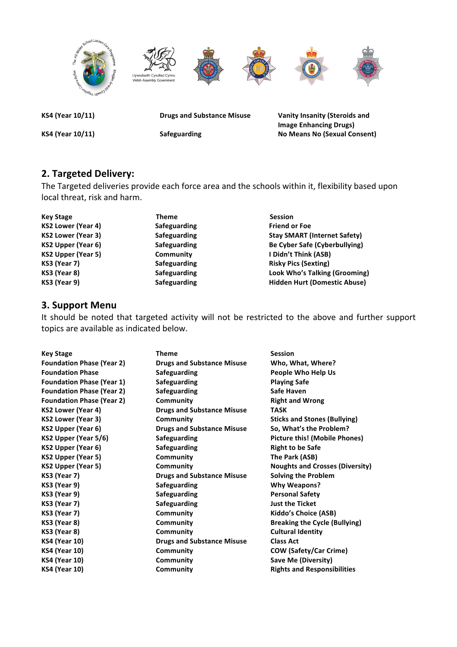

**Image Enhancing Drugs)** KS4 (Year 10/11) **Safeguarding No Means No (Sexual Consent)** 

## **2. Targeted Delivery:**

The Targeted deliveries provide each force area and the schools within it, flexibility based upon local threat, risk and harm.

| <b>Key Stage</b>          | <b>Theme</b> | <b>Session</b>                       |
|---------------------------|--------------|--------------------------------------|
| <b>KS2 Lower (Year 4)</b> | Safeguarding | <b>Friend or Foe</b>                 |
| <b>KS2 Lower (Year 3)</b> | Safeguarding | <b>Stay SMART (Internet Safety)</b>  |
| KS2 Upper (Year 6)        | Safeguarding | Be Cyber Safe (Cyberbullying)        |
| <b>KS2 Upper (Year 5)</b> | Community    | I Didn't Think (ASB)                 |
| <b>KS3 (Year 7)</b>       | Safeguarding | <b>Risky Pics (Sexting)</b>          |
| KS3 (Year 8)              | Safeguarding | <b>Look Who's Talking (Grooming)</b> |
| KS3 (Year 9)              | Safeguarding | <b>Hidden Hurt (Domestic Abuse)</b>  |

### **3. Support Menu**

It should be noted that targeted activity will not be restricted to the above and further support topics are available as indicated below.

| <b>Key Stage</b>                 | <b>Theme</b>                      | <b>Session</b>                         |
|----------------------------------|-----------------------------------|----------------------------------------|
| <b>Foundation Phase (Year 2)</b> | <b>Drugs and Substance Misuse</b> | Who, What, Where?                      |
| <b>Foundation Phase</b>          | <b>Safeguarding</b>               | People Who Help Us                     |
| <b>Foundation Phase (Year 1)</b> | <b>Safeguarding</b>               | <b>Playing Safe</b>                    |
| <b>Foundation Phase (Year 2)</b> | <b>Safeguarding</b>               | Safe Haven                             |
| <b>Foundation Phase (Year 2)</b> | Community                         | <b>Right and Wrong</b>                 |
| <b>KS2 Lower (Year 4)</b>        | <b>Drugs and Substance Misuse</b> | <b>TASK</b>                            |
| <b>KS2 Lower (Year 3)</b>        | Community                         | <b>Sticks and Stones (Bullying)</b>    |
| KS2 Upper (Year 6)               | <b>Drugs and Substance Misuse</b> | So, What's the Problem?                |
| KS2 Upper (Year 5/6)             | <b>Safeguarding</b>               | <b>Picture this! (Mobile Phones)</b>   |
| <b>KS2 Upper (Year 6)</b>        | <b>Safeguarding</b>               | <b>Right to be Safe</b>                |
| <b>KS2 Upper (Year 5)</b>        | Community                         | The Park (ASB)                         |
| KS2 Upper (Year 5)               | Community                         | <b>Noughts and Crosses (Diversity)</b> |
| <b>KS3 (Year 7)</b>              | <b>Drugs and Substance Misuse</b> | <b>Solving the Problem</b>             |
| <b>KS3 (Year 9)</b>              | <b>Safeguarding</b>               | <b>Why Weapons?</b>                    |
| <b>KS3 (Year 9)</b>              | Safeguarding                      | <b>Personal Safety</b>                 |
| <b>KS3 (Year 7)</b>              | <b>Safeguarding</b>               | <b>Just the Ticket</b>                 |
| <b>KS3 (Year 7)</b>              | Community                         | Kiddo's Choice (ASB)                   |
| KS3 (Year 8)                     | Community                         | <b>Breaking the Cycle (Bullying)</b>   |
| KS3 (Year 8)                     | Community                         | <b>Cultural Identity</b>               |
| <b>KS4 (Year 10)</b>             | <b>Drugs and Substance Misuse</b> | <b>Class Act</b>                       |
| <b>KS4 (Year 10)</b>             | Community                         | <b>COW (Safety/Car Crime)</b>          |
| <b>KS4 (Year 10)</b>             | Community                         | Save Me (Diversity)                    |
| <b>KS4 (Year 10)</b>             | Community                         | <b>Rights and Responsibilities</b>     |
|                                  |                                   |                                        |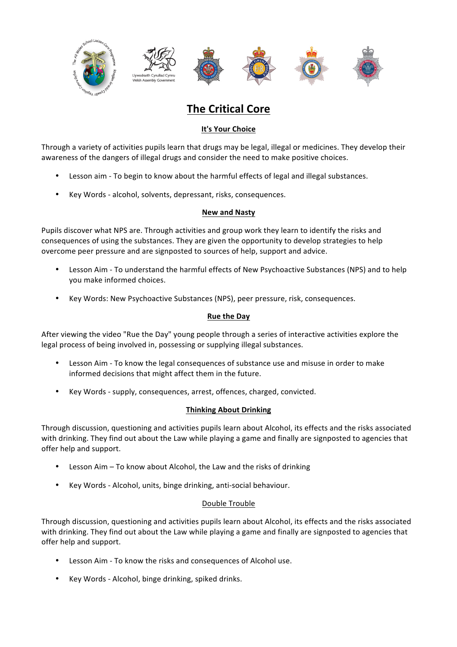

# **The Critical Core**

#### **It's Your Choice**

Through a variety of activities pupils learn that drugs may be legal, illegal or medicines. They develop their awareness of the dangers of illegal drugs and consider the need to make positive choices.

- Lesson aim To begin to know about the harmful effects of legal and illegal substances.
- Key Words alcohol, solvents, depressant, risks, consequences.

#### **New and Nasty**

Pupils discover what NPS are. Through activities and group work they learn to identify the risks and consequences of using the substances. They are given the opportunity to develop strategies to help overcome peer pressure and are signposted to sources of help, support and advice.

- Lesson Aim To understand the harmful effects of New Psychoactive Substances (NPS) and to help you make informed choices.
- Key Words: New Psychoactive Substances (NPS), peer pressure, risk, consequences.

#### **Rue the Day**

After viewing the video "Rue the Day" young people through a series of interactive activities explore the legal process of being involved in, possessing or supplying illegal substances.

- Lesson Aim To know the legal consequences of substance use and misuse in order to make informed decisions that might affect them in the future.
- Key Words supply, consequences, arrest, offences, charged, convicted.

#### **Thinking About Drinking**

Through discussion, questioning and activities pupils learn about Alcohol, its effects and the risks associated with drinking. They find out about the Law while playing a game and finally are signposted to agencies that offer help and support.

- Lesson Aim  $-$  To know about Alcohol, the Law and the risks of drinking
- Key Words Alcohol, units, binge drinking, anti-social behaviour.

#### Double Trouble

Through discussion, questioning and activities pupils learn about Alcohol, its effects and the risks associated with drinking. They find out about the Law while playing a game and finally are signposted to agencies that offer help and support.

- Lesson Aim To know the risks and consequences of Alcohol use.
- Key Words Alcohol, binge drinking, spiked drinks.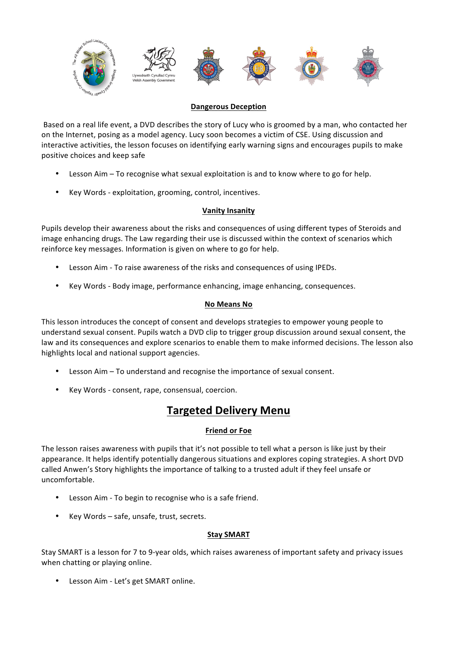

#### **Dangerous Deception**

Based on a real life event, a DVD describes the story of Lucy who is groomed by a man, who contacted her on the Internet, posing as a model agency. Lucy soon becomes a victim of CSE. Using discussion and interactive activities, the lesson focuses on identifying early warning signs and encourages pupils to make positive choices and keep safe

- Lesson Aim To recognise what sexual exploitation is and to know where to go for help.
- Key Words exploitation, grooming, control, incentives.

#### **Vanity Insanity**

Pupils develop their awareness about the risks and consequences of using different types of Steroids and image enhancing drugs. The Law regarding their use is discussed within the context of scenarios which reinforce key messages. Information is given on where to go for help.

- Lesson Aim To raise awareness of the risks and consequences of using IPEDs.
- Key Words Body image, performance enhancing, image enhancing, consequences.

#### **No Means No**

This lesson introduces the concept of consent and develops strategies to empower young people to understand sexual consent. Pupils watch a DVD clip to trigger group discussion around sexual consent, the law and its consequences and explore scenarios to enable them to make informed decisions. The lesson also highlights local and national support agencies.

- Lesson Aim To understand and recognise the importance of sexual consent.
- Key Words consent, rape, consensual, coercion.

# **Targeted Delivery Menu**

#### **Friend or Foe**

The lesson raises awareness with pupils that it's not possible to tell what a person is like just by their appearance. It helps identify potentially dangerous situations and explores coping strategies. A short DVD called Anwen's Story highlights the importance of talking to a trusted adult if they feel unsafe or uncomfortable.

- Lesson Aim To begin to recognise who is a safe friend.
- Key Words safe, unsafe, trust, secrets.

#### **Stay SMART**

Stay SMART is a lesson for 7 to 9-year olds, which raises awareness of important safety and privacy issues when chatting or playing online.

Lesson Aim - Let's get SMART online.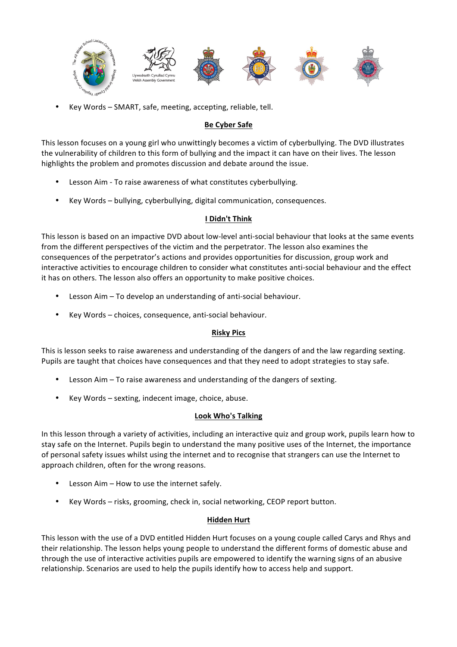

Key Words - SMART, safe, meeting, accepting, reliable, tell.

#### **Be Cyber Safe**

This lesson focuses on a young girl who unwittingly becomes a victim of cyberbullying. The DVD illustrates the vulnerability of children to this form of bullying and the impact it can have on their lives. The lesson highlights the problem and promotes discussion and debate around the issue.

- Lesson Aim To raise awareness of what constitutes cyberbullying.
- Key Words bullying, cyberbullying, digital communication, consequences.

#### **I Didn't Think**

This lesson is based on an impactive DVD about low-level anti-social behaviour that looks at the same events from the different perspectives of the victim and the perpetrator. The lesson also examines the consequences of the perpetrator's actions and provides opportunities for discussion, group work and interactive activities to encourage children to consider what constitutes anti-social behaviour and the effect it has on others. The lesson also offers an opportunity to make positive choices.

- Lesson Aim To develop an understanding of anti-social behaviour.
- Key Words choices, consequence, anti-social behaviour.

#### **Risky Pics**

This is lesson seeks to raise awareness and understanding of the dangers of and the law regarding sexting. Pupils are taught that choices have consequences and that they need to adopt strategies to stay safe.

- Lesson Aim To raise awareness and understanding of the dangers of sexting.
- Key Words sexting, indecent image, choice, abuse.

#### **Look Who's Talking**

In this lesson through a variety of activities, including an interactive quiz and group work, pupils learn how to stay safe on the Internet. Pupils begin to understand the many positive uses of the Internet, the importance of personal safety issues whilst using the internet and to recognise that strangers can use the Internet to approach children, often for the wrong reasons.

- Lesson Aim How to use the internet safely.
- Key Words risks, grooming, check in, social networking, CEOP report button.

#### **Hidden Hurt**

This lesson with the use of a DVD entitled Hidden Hurt focuses on a young couple called Carys and Rhys and their relationship. The lesson helps young people to understand the different forms of domestic abuse and through the use of interactive activities pupils are empowered to identify the warning signs of an abusive relationship. Scenarios are used to help the pupils identify how to access help and support.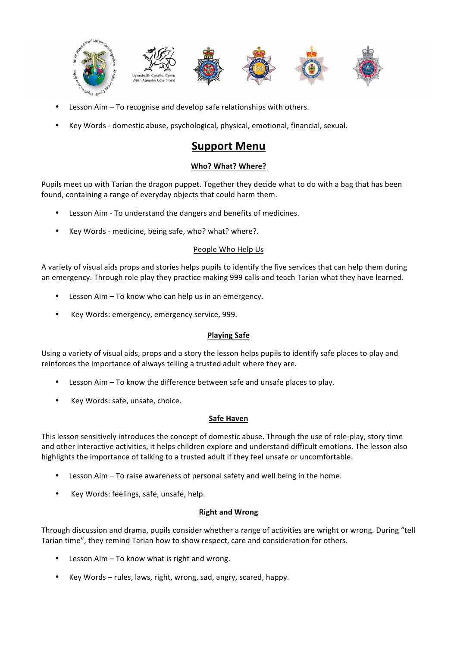

- Lesson Aim  $-$  To recognise and develop safe relationships with others.
- Key Words domestic abuse, psychological, physical, emotional, financial, sexual.

# **Support Menu**

#### **Who? What? Where?**

Pupils meet up with Tarian the dragon puppet. Together they decide what to do with a bag that has been found, containing a range of everyday objects that could harm them.

- Lesson Aim To understand the dangers and benefits of medicines.
- Key Words medicine, being safe, who? what? where?.

#### People Who Help Us

A variety of visual aids props and stories helps pupils to identify the five services that can help them during an emergency. Through role play they practice making 999 calls and teach Tarian what they have learned.

- Lesson  $A$ im To know who can help us in an emergency.
- Key Words: emergency, emergency service, 999.

#### **Playing Safe**

Using a variety of visual aids, props and a story the lesson helps pupils to identify safe places to play and reinforces the importance of always telling a trusted adult where they are.

- Lesson Aim To know the difference between safe and unsafe places to play.
- Key Words: safe, unsafe, choice.

#### **Safe Haven**

This lesson sensitively introduces the concept of domestic abuse. Through the use of role-play, story time and other interactive activities, it helps children explore and understand difficult emotions. The lesson also highlights the importance of talking to a trusted adult if they feel unsafe or uncomfortable.

- Lesson Aim  $-$  To raise awareness of personal safety and well being in the home.
- Key Words: feelings, safe, unsafe, help.

#### **Right and Wrong**

Through discussion and drama, pupils consider whether a range of activities are wright or wrong. During "tell Tarian time", they remind Tarian how to show respect, care and consideration for others.

- Lesson  $A$ im  $-$  To know what is right and wrong.
- Key Words rules, laws, right, wrong, sad, angry, scared, happy.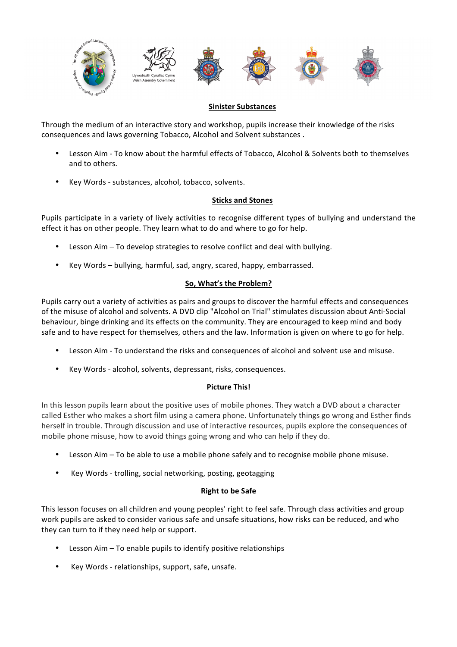

#### **Sinister Substances**

Through the medium of an interactive story and workshop, pupils increase their knowledge of the risks consequences and laws governing Tobacco, Alcohol and Solvent substances.

- Lesson Aim To know about the harmful effects of Tobacco, Alcohol & Solvents both to themselves and to others.
- Key Words substances, alcohol, tobacco, solvents.

#### **Sticks and Stones**

Pupils participate in a variety of lively activities to recognise different types of bullying and understand the effect it has on other people. They learn what to do and where to go for help.

- Lesson Aim  $-$  To develop strategies to resolve conflict and deal with bullying.
- Key Words bullying, harmful, sad, angry, scared, happy, embarrassed.

#### **So, What's the Problem?**

Pupils carry out a variety of activities as pairs and groups to discover the harmful effects and consequences of the misuse of alcohol and solvents. A DVD clip "Alcohol on Trial" stimulates discussion about Anti-Social behaviour, binge drinking and its effects on the community. They are encouraged to keep mind and body safe and to have respect for themselves, others and the law. Information is given on where to go for help.

- Lesson Aim To understand the risks and consequences of alcohol and solvent use and misuse.
- Key Words alcohol, solvents, depressant, risks, consequences.

#### **Picture This!**

In this lesson pupils learn about the positive uses of mobile phones. They watch a DVD about a character called Esther who makes a short film using a camera phone. Unfortunately things go wrong and Esther finds herself in trouble. Through discussion and use of interactive resources, pupils explore the consequences of mobile phone misuse, how to avoid things going wrong and who can help if they do.

- Lesson  $A$ im To be able to use a mobile phone safely and to recognise mobile phone misuse.
- Key Words trolling, social networking, posting, geotagging

#### **Right to be Safe**

This lesson focuses on all children and young peoples' right to feel safe. Through class activities and group work pupils are asked to consider various safe and unsafe situations, how risks can be reduced, and who they can turn to if they need help or support.

- Lesson  $A$ im To enable pupils to identify positive relationships
- Key Words relationships, support, safe, unsafe.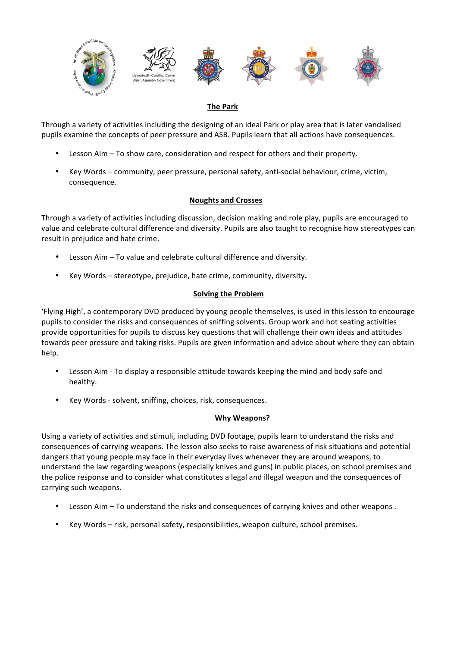

#### **The Park**

Through a variety of activities including the designing of an ideal Park or play area that is later vandalised pupils examine the concepts of peer pressure and ASB. Pupils learn that all actions have consequences.

- Lesson Aim To show care, consideration and respect for others and their property.
- Key Words community, peer pressure, personal safety, anti-social behaviour, crime, victim, consequence.

#### **Noughts and Crosses**

Through a variety of activities including discussion, decision making and role play, pupils are encouraged to value and celebrate cultural difference and diversity. Pupils are also taught to recognise how stereotypes can result in prejudice and hate crime.

- Lesson Aim To value and celebrate cultural difference and diversity.
- Key Words stereotype, prejudice, hate crime, community, diversity.

#### **Solving the Problem**

'Flying High', a contemporary DVD produced by young people themselves, is used in this lesson to encourage pupils to consider the risks and consequences of sniffing solvents. Group work and hot seating activities provide opportunities for pupils to discuss key questions that will challenge their own ideas and attitudes towards peer pressure and taking risks. Pupils are given information and advice about where they can obtain help.

- Lesson Aim To display a responsible attitude towards keeping the mind and body safe and healthy.
- Key Words solvent, sniffing, choices, risk, consequences.

#### **Why Weapons?**

Using a variety of activities and stimuli, including DVD footage, pupils learn to understand the risks and consequences of carrying weapons. The lesson also seeks to raise awareness of risk situations and potential dangers that young people may face in their everyday lives whenever they are around weapons, to understand the law regarding weapons (especially knives and guns) in public places, on school premises and the police response and to consider what constitutes a legal and illegal weapon and the consequences of carrying such weapons.

- Lesson Aim To understand the risks and consequences of carrying knives and other weapons.
- Key Words risk, personal safety, responsibilities, weapon culture, school premises.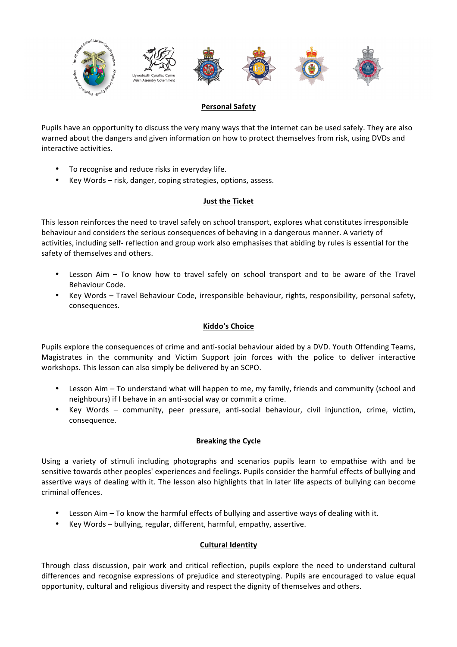

#### **Personal Safety**

Pupils have an opportunity to discuss the very many ways that the internet can be used safely. They are also warned about the dangers and given information on how to protect themselves from risk, using DVDs and interactive activities.

- To recognise and reduce risks in everyday life.
- Key Words risk, danger, coping strategies, options, assess.

#### **Just the Ticket**

This lesson reinforces the need to travel safely on school transport, explores what constitutes irresponsible behaviour and considers the serious consequences of behaving in a dangerous manner. A variety of activities, including self- reflection and group work also emphasises that abiding by rules is essential for the safety of themselves and others.

- Lesson Aim  $-$  To know how to travel safely on school transport and to be aware of the Travel Behaviour Code.
- Key Words Travel Behaviour Code, irresponsible behaviour, rights, responsibility, personal safety, consequences.

#### **Kiddo's Choice**

Pupils explore the consequences of crime and anti-social behaviour aided by a DVD. Youth Offending Teams, Magistrates in the community and Victim Support join forces with the police to deliver interactive workshops. This lesson can also simply be delivered by an SCPO.

- Lesson Aim To understand what will happen to me, my family, friends and community (school and neighbours) if I behave in an anti-social way or commit a crime.
- Key Words community, peer pressure, anti-social behaviour, civil injunction, crime, victim, consequence.

#### **Breaking the Cycle**

Using a variety of stimuli including photographs and scenarios pupils learn to empathise with and be sensitive towards other peoples' experiences and feelings. Pupils consider the harmful effects of bullying and assertive ways of dealing with it. The lesson also highlights that in later life aspects of bullying can become criminal offences. 

- Lesson Aim  $-$  To know the harmful effects of bullying and assertive ways of dealing with it.
- Key Words bullying, regular, different, harmful, empathy, assertive.

#### **Cultural Identity**

Through class discussion, pair work and critical reflection, pupils explore the need to understand cultural differences and recognise expressions of prejudice and stereotyping. Pupils are encouraged to value equal opportunity, cultural and religious diversity and respect the dignity of themselves and others.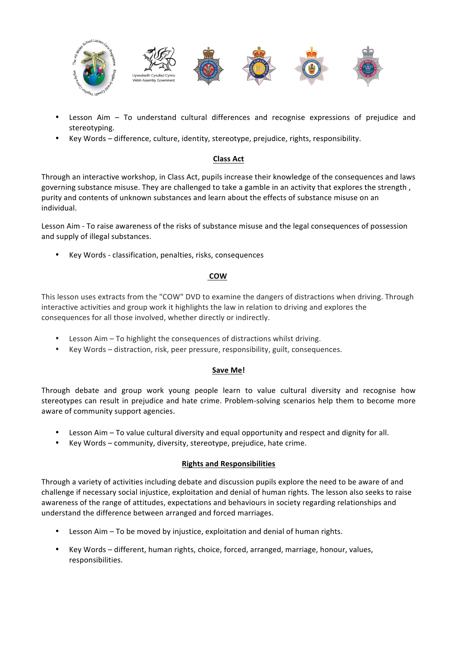

- Lesson Aim To understand cultural differences and recognise expressions of prejudice and stereotyping.
- Key Words difference, culture, identity, stereotype, prejudice, rights, responsibility.

#### **Class Act**

Through an interactive workshop, in Class Act, pupils increase their knowledge of the consequences and laws governing substance misuse. They are challenged to take a gamble in an activity that explores the strength, purity and contents of unknown substances and learn about the effects of substance misuse on an individual.

Lesson Aim - To raise awareness of the risks of substance misuse and the legal consequences of possession and supply of illegal substances.

Key Words - classification, penalties, risks, consequences

#### **COW**

This lesson uses extracts from the "COW" DVD to examine the dangers of distractions when driving. Through interactive activities and group work it highlights the law in relation to driving and explores the consequences for all those involved, whether directly or indirectly.

- Lesson Aim  $-$  To highlight the consequences of distractions whilst driving.
- Key Words distraction, risk, peer pressure, responsibility, guilt, consequences.

#### **Save Me!**

Through debate and group work young people learn to value cultural diversity and recognise how stereotypes can result in prejudice and hate crime. Problem-solving scenarios help them to become more aware of community support agencies.

- Lesson Aim To value cultural diversity and equal opportunity and respect and dignity for all.
- Key Words community, diversity, stereotype, prejudice, hate crime.

#### **Rights and Responsibilities**

Through a variety of activities including debate and discussion pupils explore the need to be aware of and challenge if necessary social injustice, exploitation and denial of human rights. The lesson also seeks to raise awareness of the range of attitudes, expectations and behaviours in society regarding relationships and understand the difference between arranged and forced marriages.

- Lesson Aim  $-$  To be moved by injustice, exploitation and denial of human rights.
- Key Words different, human rights, choice, forced, arranged, marriage, honour, values, responsibilities.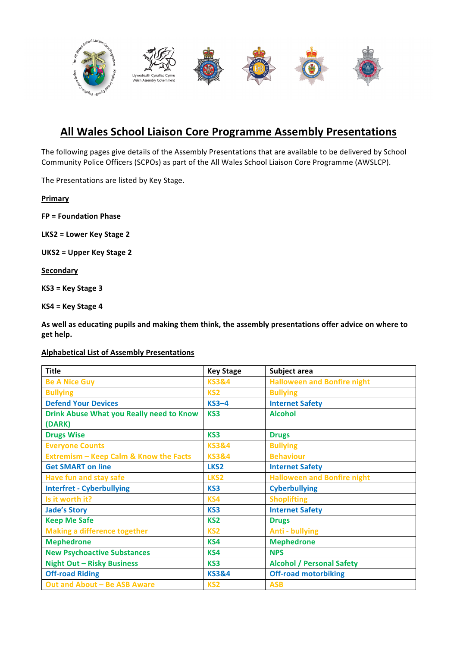

# **All Wales School Liaison Core Programme Assembly Presentations**

The following pages give details of the Assembly Presentations that are available to be delivered by School Community Police Officers (SCPOs) as part of the All Wales School Liaison Core Programme (AWSLCP).

The Presentations are listed by Key Stage.

**Primary**

**FP = Foundation Phase**

LKS2 = Lower Key Stage 2

**UKS2 = Upper Key Stage 2**

**Secondary**

**KS3 = Key Stage 3**

**KS4 = Key Stage 4**

As well as educating pupils and making them think, the assembly presentations offer advice on where to **get help.**

**Alphabetical List of Assembly Presentations**

| <b>Title</b>                                      | <b>Key Stage</b> | Subject area                       |
|---------------------------------------------------|------------------|------------------------------------|
| <b>Be A Nice Guy</b>                              | <b>KS3&amp;4</b> | <b>Halloween and Bonfire night</b> |
| <b>Bullying</b>                                   | KS <sub>2</sub>  | <b>Bullying</b>                    |
| <b>Defend Your Devices</b>                        | $KS3-4$          | <b>Internet Safety</b>             |
| <b>Drink Abuse What you Really need to Know</b>   | KS3              | <b>Alcohol</b>                     |
| (DARK)                                            |                  |                                    |
| <b>Drugs Wise</b>                                 | KS3              | <b>Drugs</b>                       |
| <b>Everyone Counts</b>                            | <b>KS3&amp;4</b> | <b>Bullying</b>                    |
| <b>Extremism - Keep Calm &amp; Know the Facts</b> | <b>KS3&amp;4</b> | <b>Behaviour</b>                   |
| <b>Get SMART on line</b>                          | LKS <sub>2</sub> | <b>Internet Safety</b>             |
| <b>Have fun and stay safe</b>                     | LKS <sub>2</sub> | <b>Halloween and Bonfire night</b> |
| <b>Interfret - Cyberbullying</b>                  | KS3              | <b>Cyberbullying</b>               |
| Is it worth it?                                   | KS4              | <b>Shoplifting</b>                 |
| <b>Jade's Story</b>                               | KS3              | <b>Internet Safety</b>             |
| <b>Keep Me Safe</b>                               | KS <sub>2</sub>  | <b>Drugs</b>                       |
| <b>Making a difference together</b>               | KS <sub>2</sub>  | <b>Anti - bullying</b>             |
| <b>Mephedrone</b>                                 | KS4              | <b>Mephedrone</b>                  |
| <b>New Psychoactive Substances</b>                | KS4              | <b>NPS</b>                         |
| <b>Night Out - Risky Business</b>                 | KS3              | <b>Alcohol / Personal Safety</b>   |
| <b>Off-road Riding</b>                            | <b>KS3&amp;4</b> | <b>Off-road motorbiking</b>        |
| Out and About - Be ASB Aware                      | KS <sub>2</sub>  | <b>ASB</b>                         |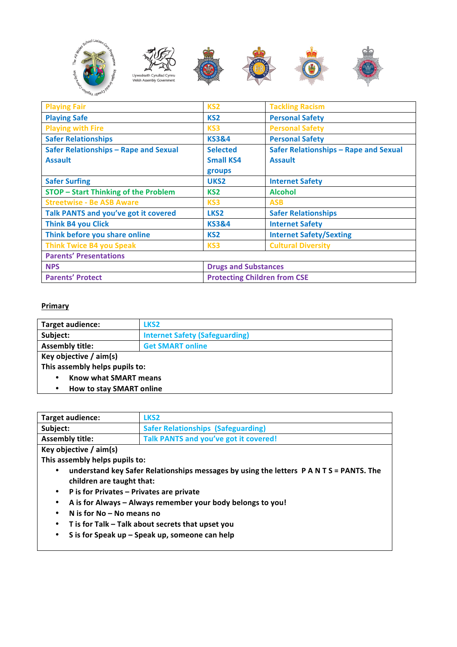

| <b>Playing Fair</b>                         | KS <sub>2</sub>                     | <b>Tackling Racism</b>                |
|---------------------------------------------|-------------------------------------|---------------------------------------|
| <b>Playing Safe</b>                         | KS <sub>2</sub>                     | <b>Personal Safety</b>                |
| <b>Playing with Fire</b>                    | KS <sub>3</sub>                     | <b>Personal Safety</b>                |
| <b>Safer Relationships</b>                  | <b>KS3&amp;4</b>                    | <b>Personal Safety</b>                |
| Safer Relationships - Rape and Sexual       | <b>Selected</b>                     | Safer Relationships - Rape and Sexual |
| <b>Assault</b>                              | <b>Small KS4</b>                    | <b>Assault</b>                        |
|                                             | groups                              |                                       |
| <b>Safer Surfing</b>                        | UKS <sub>2</sub>                    | <b>Internet Safety</b>                |
| <b>STOP - Start Thinking of the Problem</b> | KS <sub>2</sub>                     | <b>Alcohol</b>                        |
| <b>Streetwise - Be ASB Aware</b>            | KS3                                 | <b>ASB</b>                            |
| Talk PANTS and you've got it covered        | LKS <sub>2</sub>                    | <b>Safer Relationships</b>            |
| <b>Think B4 you Click</b>                   | <b>KS3&amp;4</b>                    | <b>Internet Safety</b>                |
| Think before you share online               | KS <sub>2</sub>                     | <b>Internet Safety/Sexting</b>        |
| <b>Think Twice B4 you Speak</b>             | KS3                                 | <b>Cultural Diversity</b>             |
| <b>Parents' Presentations</b>               |                                     |                                       |
| <b>NPS</b>                                  | <b>Drugs and Substances</b>         |                                       |
| <b>Parents' Protect</b>                     | <b>Protecting Children from CSE</b> |                                       |

#### **Primary**

| Target audience:                      | LKS <sub>2</sub>                      |
|---------------------------------------|---------------------------------------|
| Subject:                              | <b>Internet Safety (Safeguarding)</b> |
| <b>Assembly title:</b>                | <b>Get SMART online</b>               |
| Key objective $/$ aim(s)              |                                       |
| This assembly helps pupils to:        |                                       |
| Know what SMART means<br>٠            |                                       |
| How to stay SMART online<br>$\bullet$ |                                       |

| Target audience:       | LKS <sub>2</sub>                          |
|------------------------|-------------------------------------------|
| Subject:               | <b>Safer Relationships (Safeguarding)</b> |
| <b>Assembly title:</b> | Talk PANTS and you've got it covered!     |
|                        |                                           |

**Key objective / aim(s)**

This assembly helps pupils to:

- understand key Safer Relationships messages by using the letters P A N T S = PANTS. The children are taught that:
- **P is for Privates – Privates are private**
- A is for Always Always remember your body belongs to you!
- **N is for No – No means no**
- **T is for Talk – Talk about secrets that upset you**
- S is for Speak up Speak up, someone can help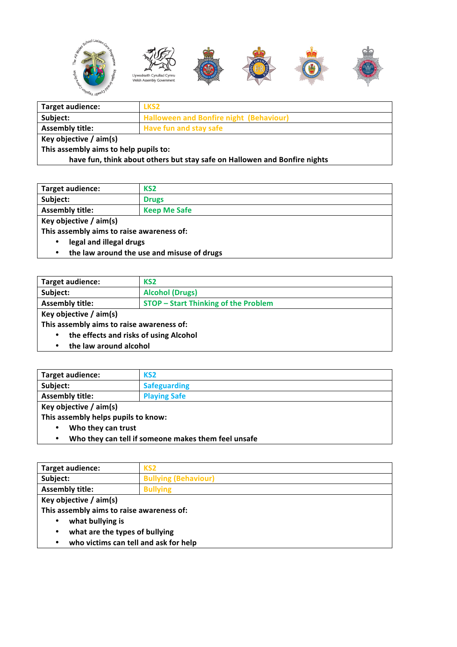

| <b>Target audience:</b>                                                   | LKS <sub>2</sub>                               |
|---------------------------------------------------------------------------|------------------------------------------------|
| Subject:                                                                  | <b>Halloween and Bonfire night (Behaviour)</b> |
| <b>Assembly title:</b>                                                    | <b>Have fun and stay safe</b>                  |
| Key objective $/$ aim(s)                                                  |                                                |
| This assembly aims to help pupils to:                                     |                                                |
| have fun, think about others but stay safe on Hallowen and Bonfire nights |                                                |

| Target audience:                                                                                                                                                                                                               | KS2                 |  |
|--------------------------------------------------------------------------------------------------------------------------------------------------------------------------------------------------------------------------------|---------------------|--|
| Subject:                                                                                                                                                                                                                       | <b>Drugs</b>        |  |
| <b>Assembly title:</b>                                                                                                                                                                                                         | <b>Keep Me Safe</b> |  |
| and the state of the state of the state of the U.S. State of the U.S. State of the U.S. State of the U.S. State of the U.S. State of the U.S. State of the U.S. State of the U.S. State of the U.S. State of the U.S. State of |                     |  |

**Key objective / aim(s)**

This assembly aims to raise awareness of:

- **legal and illegal drugs**
- the law around the use and misuse of drugs

| Target audience:                                    | KS <sub>2</sub>                             |  |
|-----------------------------------------------------|---------------------------------------------|--|
| Subject:                                            | <b>Alcohol (Drugs)</b>                      |  |
| <b>Assembly title:</b>                              | <b>STOP - Start Thinking of the Problem</b> |  |
| Key objective / aim(s)                              |                                             |  |
| This assembly aims to raise awareness of:           |                                             |  |
| the effects and risks of using Alcohol<br>$\bullet$ |                                             |  |
|                                                     | المواجها والمستحسح يتبجل ووالجدار           |  |

• **the law around alcohol** 

| <b>Target audience:</b>             | KS <sub>2</sub>     |
|-------------------------------------|---------------------|
| Subject:                            | <b>Safeguarding</b> |
| <b>Assembly title:</b>              | <b>Playing Safe</b> |
| Key objective $/$ aim(s)            |                     |
| This assembly helps pupils to know: |                     |
| Who they can trust<br>$\bullet$     |                     |

• **Who they can tell if someone makes them feel unsafe**

| Target audience:                           | KS <sub>2</sub>             |
|--------------------------------------------|-----------------------------|
| Subject:                                   | <b>Bullying (Behaviour)</b> |
| <b>Assembly title:</b>                     | <b>Bullying</b>             |
| Key objective / aim(s)                     |                             |
| This assembly aims to raise awareness of:  |                             |
| what bullying is                           |                             |
| what are the types of bullying<br>٠        |                             |
| who victims can tell and ask for help<br>٠ |                             |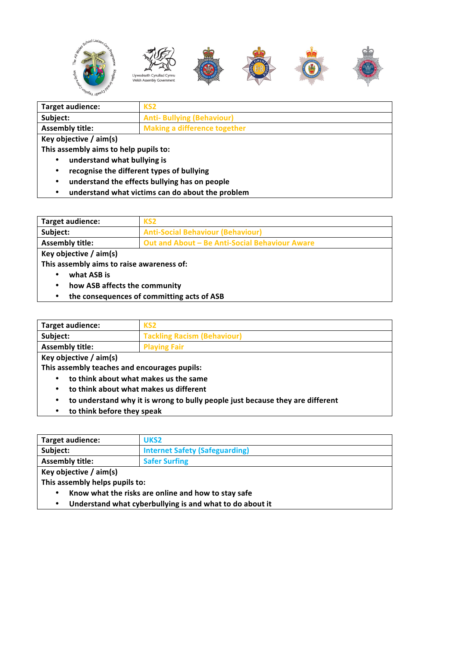

| Target audience:                                        | KS <sub>2</sub>                     |
|---------------------------------------------------------|-------------------------------------|
| Subject:                                                | <b>Anti- Bullying (Behaviour)</b>   |
| <b>Assembly title:</b>                                  | <b>Making a difference together</b> |
| Key objective $/$ aim(s)                                |                                     |
| This assembly aims to help pupils to:                   |                                     |
| understand what bullying is<br>٠                        |                                     |
| ومرتبيا الربط فورم ومستطيف ومستكثاه ومناط ومتعود وممروس |                                     |

- recognise the different types of bullying
- understand the effects bullying has on people
- **understand what victims can do about the problem**

| Target audience:                           | KS <sub>2</sub>                                |
|--------------------------------------------|------------------------------------------------|
| Subject:                                   | <b>Anti-Social Behaviour (Behaviour)</b>       |
| <b>Assembly title:</b>                     | Out and About - Be Anti-Social Behaviour Aware |
| Key objective / aim(s)                     |                                                |
| This assembly aims to raise awareness of:  |                                                |
| what ASB is                                |                                                |
| how ASB affects the community<br>$\bullet$ |                                                |

• the consequences of committing acts of ASB

| <b>Target audience:</b> | KS <sub>2</sub>                    |
|-------------------------|------------------------------------|
| Subject:                | <b>Tackling Racism (Behaviour)</b> |
| <b>Assembly title:</b>  | <b>Playing Fair</b>                |

**Key objective / aim(s)**

This assembly teaches and encourages pupils:

- **to think about what makes us the same**
- to think about what makes us different
- to understand why it is wrong to bully people just because they are different
- **to think before they speak**

| Target audience:                                           | UKS <sub>2</sub>                                    |
|------------------------------------------------------------|-----------------------------------------------------|
| Subject:                                                   | <b>Internet Safety (Safeguarding)</b>               |
| <b>Assembly title:</b>                                     | <b>Safer Surfing</b>                                |
| Key objective $/$ aim(s)                                   |                                                     |
| This assembly helps pupils to:                             |                                                     |
| $\bullet$                                                  | Know what the risks are online and how to stay safe |
| I hadovetond what quborhullying is and what to do about it |                                                     |

Understand what cyberbullying is and what to do about it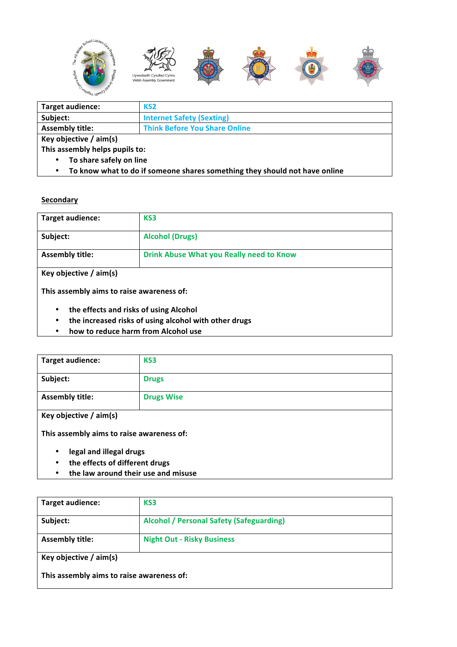

| Target audience:                     | KS <sub>2</sub>                      |
|--------------------------------------|--------------------------------------|
| Subject:                             | <b>Internet Safety (Sexting)</b>     |
| <b>Assembly title:</b>               | <b>Think Before You Share Online</b> |
| Key objective / aim(s)               |                                      |
| This assembly helps pupils to:       |                                      |
| To share safely on line<br>$\bullet$ |                                      |
|                                      |                                      |

• To know what to do if someone shares something they should not have online

#### **Secondary**

| Target audience:                          | KS3                                             |
|-------------------------------------------|-------------------------------------------------|
|                                           |                                                 |
| Subject:                                  | <b>Alcohol (Drugs)</b>                          |
|                                           |                                                 |
| <b>Assembly title:</b>                    | <b>Drink Abuse What you Really need to Know</b> |
|                                           |                                                 |
| Key objective / aim(s)                    |                                                 |
|                                           |                                                 |
| This assembly aims to raise awareness of: |                                                 |
|                                           |                                                 |

- the effects and risks of using Alcohol
- the increased risks of using alcohol with other drugs
- **how to reduce harm from Alcohol use**

| <b>Target audience:</b>                   | KS3               |
|-------------------------------------------|-------------------|
| Subject:                                  | <b>Drugs</b>      |
| <b>Assembly title:</b>                    | <b>Drugs Wise</b> |
| Key objective / aim(s)                    |                   |
| This assembly aims to raise awareness of: |                   |
| المسترساء المسمالة المسم المسمان          |                   |

- **legal and illegal drugs**
- **the effects of different drugs**
- the law around their use and misuse

| <b>Target audience:</b>                   | KS3                                             |
|-------------------------------------------|-------------------------------------------------|
| Subject:                                  | <b>Alcohol / Personal Safety (Safeguarding)</b> |
| <b>Assembly title:</b>                    | <b>Night Out - Risky Business</b>               |
| Key objective $/$ aim(s)                  |                                                 |
| This assembly aims to raise awareness of: |                                                 |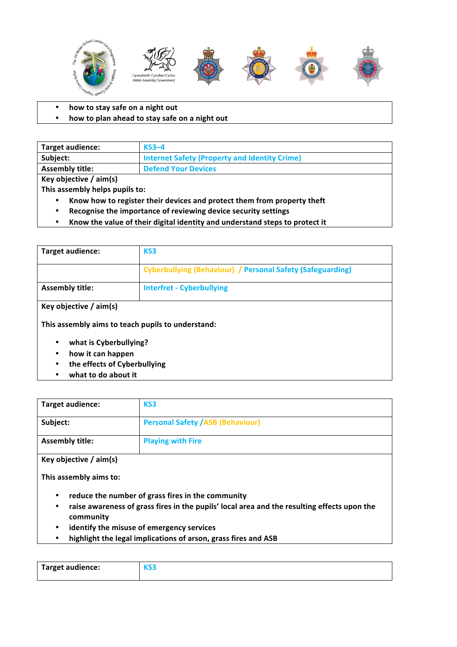

- how to stay safe on a night out
- how to plan ahead to stay safe on a night out

| <b>Target audience:</b>  | $KS3-4$                                       |
|--------------------------|-----------------------------------------------|
| Subiect:                 | Internet Safety (Property and Identity Crime) |
| <b>Assembly title:</b>   | <b>Defend Your Devices</b>                    |
| Key objective $/$ aim(s) |                                               |

This assembly helps pupils to:

- Know how to register their devices and protect them from property theft
- Recognise the importance of reviewing device security settings
- Know the value of their digital identity and understand steps to protect it

| Target audience:                                                                           | KS3                                                               |
|--------------------------------------------------------------------------------------------|-------------------------------------------------------------------|
|                                                                                            | <b>Cyberbullying (Behaviour) / Personal Safety (Safeguarding)</b> |
| <b>Assembly title:</b>                                                                     | <b>Interfret - Cyberbullying</b>                                  |
| Key objective $/$ aim(s)<br>This assembly aims to teach pupils to understand:              |                                                                   |
| what is Cyberbullying?<br>٠<br>how it can happen<br>٠<br>the effects of Cyberbullying<br>٠ |                                                                   |

what to do about it

| <b>Target audience:</b> | KS3                                      |
|-------------------------|------------------------------------------|
| Subject:                | <b>Personal Safety / ASB (Behaviour)</b> |
| <b>Assembly title:</b>  | <b>Playing with Fire</b>                 |

**Key objective / aim(s)**

This assembly aims to:

- reduce the number of grass fires in the community
- raise awareness of grass fires in the pupils' local area and the resulting effects upon the **community**
- **identify the misuse of emergency services**
- highlight the legal implications of arson, grass fires and ASB

| <b>Target audience:</b> |  |
|-------------------------|--|
|                         |  |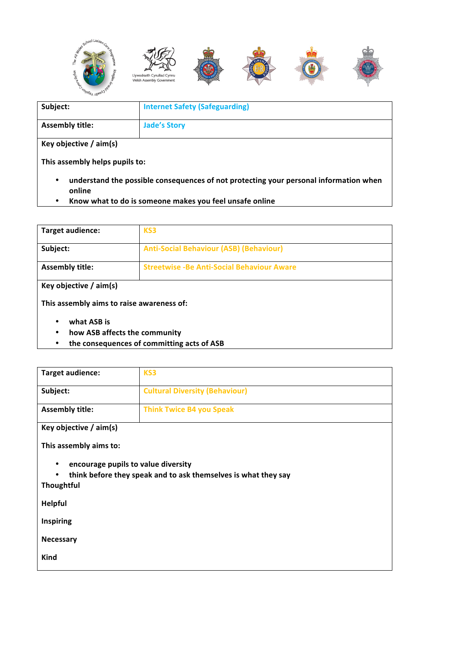

| Subject:                       | <b>Internet Safety (Safeguarding)</b>                                                 |
|--------------------------------|---------------------------------------------------------------------------------------|
| <b>Assembly title:</b>         | <b>Jade's Story</b>                                                                   |
| Key objective $/$ aim(s)       |                                                                                       |
| This assembly helps pupils to: |                                                                                       |
| $\bullet$                      | understand the possible consequences of not protecting your personal information when |

- **online**
- **Know what to do is someone makes you feel unsafe online**

| Target audience:                                       | KS3                                                |
|--------------------------------------------------------|----------------------------------------------------|
| Subject:                                               | <b>Anti-Social Behaviour (ASB) (Behaviour)</b>     |
| <b>Assembly title:</b>                                 | <b>Streetwise - Be Anti-Social Behaviour Aware</b> |
| Key objective $/$ aim(s)                               |                                                    |
| This assembly aims to raise awareness of:              |                                                    |
| what ASB is<br>٠<br>how ASB affects the community<br>٠ |                                                    |

• the consequences of committing acts of ASB

| <b>Target audience:</b>                                                                                                                       | KS3                                   |  |
|-----------------------------------------------------------------------------------------------------------------------------------------------|---------------------------------------|--|
| Subject:                                                                                                                                      | <b>Cultural Diversity (Behaviour)</b> |  |
| <b>Assembly title:</b>                                                                                                                        | <b>Think Twice B4 you Speak</b>       |  |
| Key objective $/$ aim(s)                                                                                                                      |                                       |  |
| This assembly aims to:                                                                                                                        |                                       |  |
| encourage pupils to value diversity<br>$\bullet$<br>think before they speak and to ask themselves is what they say<br>$\bullet$<br>Thoughtful |                                       |  |
| <b>Helpful</b>                                                                                                                                |                                       |  |
| <b>Inspiring</b>                                                                                                                              |                                       |  |
| <b>Necessary</b>                                                                                                                              |                                       |  |
| Kind                                                                                                                                          |                                       |  |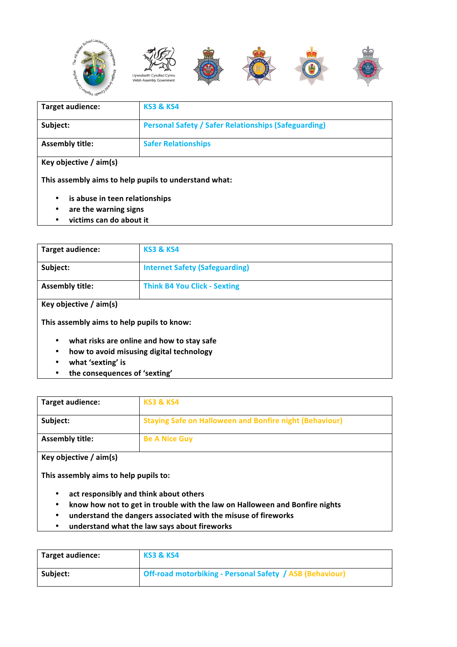

| Target audience:                                                                                                         | <b>KS3 &amp; KS4</b>                                        |  |
|--------------------------------------------------------------------------------------------------------------------------|-------------------------------------------------------------|--|
| Subject:                                                                                                                 | <b>Personal Safety / Safer Relationships (Safeguarding)</b> |  |
| <b>Assembly title:</b>                                                                                                   | <b>Safer Relationships</b>                                  |  |
| Key objective $/$ aim(s)<br>This assembly aims to help pupils to understand what:<br>is abuse in teen relationships<br>٠ |                                                             |  |
| are the warning signs<br>٠                                                                                               |                                                             |  |

• **victims can do about it**

| Target audience:                           | <b>KS3 &amp; KS4</b>                  |
|--------------------------------------------|---------------------------------------|
| Subject:                                   | <b>Internet Safety (Safeguarding)</b> |
| <b>Assembly title:</b>                     | <b>Think B4 You Click - Sexting</b>   |
| Key objective $/$ aim(s)                   |                                       |
| This assembly aims to help pupils to know: |                                       |

- what risks are online and how to stay safe
- **how to avoid misusing digital technology**
- **what 'sexting' is**
- the consequences of 'sexting'

| Target audience:       | <b>KS3 &amp; KS4</b>                                    |
|------------------------|---------------------------------------------------------|
| Subject:               | Staying Safe on Halloween and Bonfire night (Behaviour) |
| <b>Assembly title:</b> | <b>Be A Nice Guy</b>                                    |

**Key objective / aim(s)**

This assembly aims to help pupils to:

- **act responsibly and think about others**
- know how not to get in trouble with the law on Halloween and Bonfire nights
- **understand the dangers associated with the misuse of fireworks**
- **understand what the law says about fireworks**

| <b>Target audience:</b> | <b>KS3 &amp; KS4</b>                                     |
|-------------------------|----------------------------------------------------------|
| Subject:                | Off-road motorbiking - Personal Safety / ASB (Behaviour) |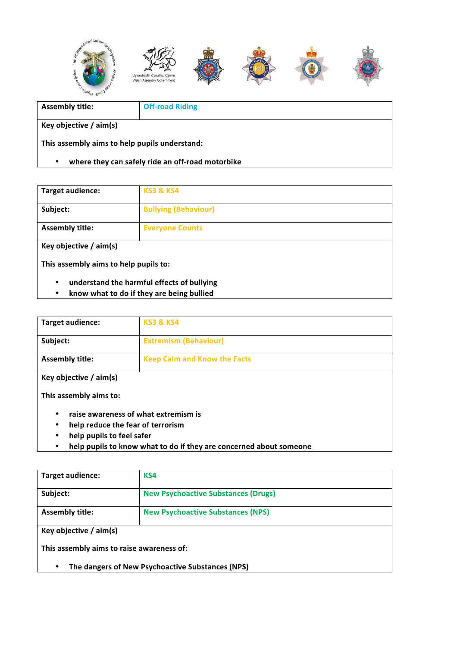

| <b>Assembly title:</b>                                | <b>Off-road Riding</b> |
|-------------------------------------------------------|------------------------|
|                                                       |                        |
| Key objective $/$ aim(s)                              |                        |
| This assembly aims to help pupils understand:         |                        |
| where they can safely ride an off-road motorbike<br>٠ |                        |

| <b>Target audience:</b>               | <b>KS3 &amp; KS4</b>        |
|---------------------------------------|-----------------------------|
| Subject:                              | <b>Bullying (Behaviour)</b> |
| <b>Assembly title:</b>                | <b>Everyone Counts</b>      |
| Key objective $/$ aim(s)              |                             |
| This assembly aims to help pupils to: |                             |

- **understand the harmful effects of bullying**
- **know what to do if they are being bullied**

| Target audience:                                   | <b>KS3 &amp; KS4</b>                                                                                                                            |
|----------------------------------------------------|-------------------------------------------------------------------------------------------------------------------------------------------------|
| Subject:                                           | <b>Extremism (Behaviour)</b>                                                                                                                    |
| <b>Assembly title:</b>                             | <b>Keep Calm and Know the Facts</b>                                                                                                             |
| Key objective $/$ aim(s)<br>This assembly aims to: |                                                                                                                                                 |
| ٠<br>٠<br>help pupils to feel safer<br>٠<br>٠      | raise awareness of what extremism is<br>help reduce the fear of terrorism<br>help pupils to know what to do if they are concerned about someone |

| <b>Target audience:</b>                          | KS4                                        |
|--------------------------------------------------|--------------------------------------------|
| Subject:                                         | <b>New Psychoactive Substances (Drugs)</b> |
| <b>Assembly title:</b>                           | <b>New Psychoactive Substances (NPS)</b>   |
| Key objective $/$ aim(s)                         |                                            |
| This assembly aims to raise awareness of:        |                                            |
| The dangers of New Psychoactive Substances (NPS) |                                            |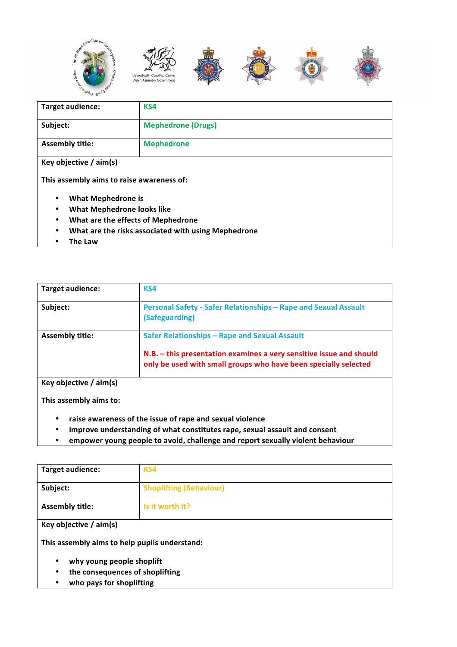

| <b>Target audience:</b>                                  | KS4                       |  |
|----------------------------------------------------------|---------------------------|--|
| Subject:                                                 | <b>Mephedrone (Drugs)</b> |  |
| <b>Assembly title:</b>                                   | <b>Mephedrone</b>         |  |
| Key objective $/$ aim(s)                                 |                           |  |
| This assembly aims to raise awareness of:                |                           |  |
| <b>What Mephedrone is</b><br>٠                           |                           |  |
| <b>What Mephedrone looks like</b><br>$\bullet$           |                           |  |
| What are the effects of Mephedrone<br>$\bullet$          |                           |  |
| What are the risks associated with using Mephedrone<br>٠ |                           |  |

• **The Law**

| <b>Target audience:</b>  | KS4                                                                                                                                    |
|--------------------------|----------------------------------------------------------------------------------------------------------------------------------------|
| Subject:                 | Personal Safety - Safer Relationships - Rape and Sexual Assault<br>(Safeguarding)                                                      |
| <b>Assembly title:</b>   | Safer Relationships - Rape and Sexual Assault                                                                                          |
|                          | N.B. - this presentation examines a very sensitive issue and should<br>only be used with small groups who have been specially selected |
| Key objective $/$ aim(s) |                                                                                                                                        |

This assembly aims to:

- **raise awareness of the issue of rape and sexual violence**
- improve understanding of what constitutes rape, sexual assault and consent
- empower young people to avoid, challenge and report sexually violent behaviour

| <b>Target audience:</b>                       | KS4                            |  |
|-----------------------------------------------|--------------------------------|--|
| Subject:                                      | <b>Shoplifting (Behaviour)</b> |  |
| <b>Assembly title:</b>                        | Is it worth it?                |  |
| Key objective $/$ aim(s)                      |                                |  |
| This assembly aims to help pupils understand: |                                |  |
| why young people shoplift                     |                                |  |
| the consequences of shoplifting<br>٠          |                                |  |
| who pays for shoplifting                      |                                |  |